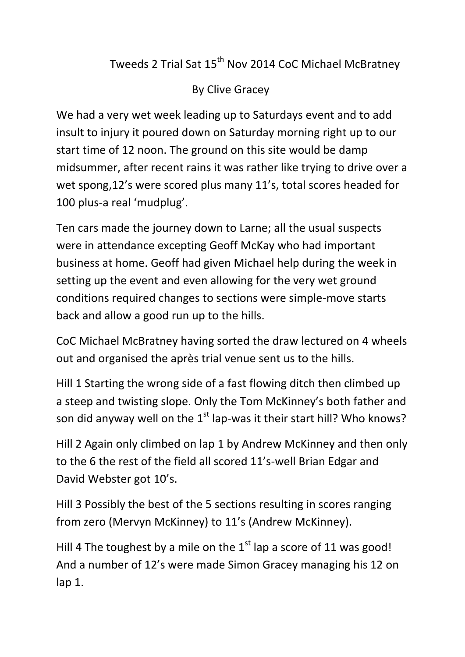## Tweeds 2 Trial Sat 15<sup>th</sup> Nov 2014 CoC Michael McBratney

## By Clive Gracey

We had a very wet week leading up to Saturdays event and to add insult to injury it poured down on Saturday morning right up to our start time of 12 noon. The ground on this site would be damp midsummer, after recent rains it was rather like trying to drive over a wet spong,12's were scored plus many 11's, total scores headed for 100 plus-a real 'mudplug'.

Ten cars made the journey down to Larne; all the usual suspects were in attendance excepting Geoff McKay who had important business at home. Geoff had given Michael help during the week in setting up the event and even allowing for the very wet ground conditions required changes to sections were simple-move starts back and allow a good run up to the hills.

CoC Michael McBratney having sorted the draw lectured on 4 wheels out and organised the après trial venue sent us to the hills.

Hill 1 Starting the wrong side of a fast flowing ditch then climbed up a steep and twisting slope. Only the Tom McKinney's both father and son did anyway well on the  $1<sup>st</sup>$  lap-was it their start hill? Who knows?

Hill 2 Again only climbed on lap 1 by Andrew McKinney and then only to the 6 the rest of the field all scored 11's-well Brian Edgar and David Webster got 10's.

Hill 3 Possibly the best of the 5 sections resulting in scores ranging from zero (Mervyn McKinney) to 11's (Andrew McKinney).

Hill 4 The toughest by a mile on the  $1<sup>st</sup>$  lap a score of 11 was good! And a number of 12's were made Simon Gracey managing his 12 on lap 1.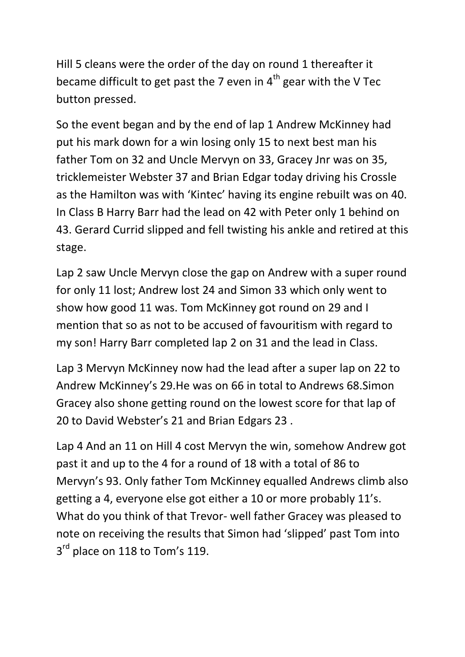Hill 5 cleans were the order of the day on round 1 thereafter it became difficult to get past the 7 even in  $4<sup>th</sup>$  gear with the V Tec button pressed.

So the event began and by the end of lap 1 Andrew McKinney had put his mark down for a win losing only 15 to next best man his father Tom on 32 and Uncle Mervyn on 33, Gracey Jnr was on 35, tricklemeister Webster 37 and Brian Edgar today driving his Crossle as the Hamilton was with 'Kintec' having its engine rebuilt was on 40. In Class B Harry Barr had the lead on 42 with Peter only 1 behind on 43. Gerard Currid slipped and fell twisting his ankle and retired at this stage.

Lap 2 saw Uncle Mervyn close the gap on Andrew with a super round for only 11 lost; Andrew lost 24 and Simon 33 which only went to show how good 11 was. Tom McKinney got round on 29 and I mention that so as not to be accused of favouritism with regard to my son! Harry Barr completed lap 2 on 31 and the lead in Class.

Lap 3 Mervyn McKinney now had the lead after a super lap on 22 to Andrew McKinney's 29.He was on 66 in total to Andrews 68.Simon Gracey also shone getting round on the lowest score for that lap of 20 to David Webster's 21 and Brian Edgars 23 .

Lap 4 And an 11 on Hill 4 cost Mervyn the win, somehow Andrew got past it and up to the 4 for a round of 18 with a total of 86 to Mervyn's 93. Only father Tom McKinney equalled Andrews climb also getting a 4, everyone else got either a 10 or more probably 11's. What do you think of that Trevor- well father Gracey was pleased to note on receiving the results that Simon had 'slipped' past Tom into 3<sup>rd</sup> place on 118 to Tom's 119.